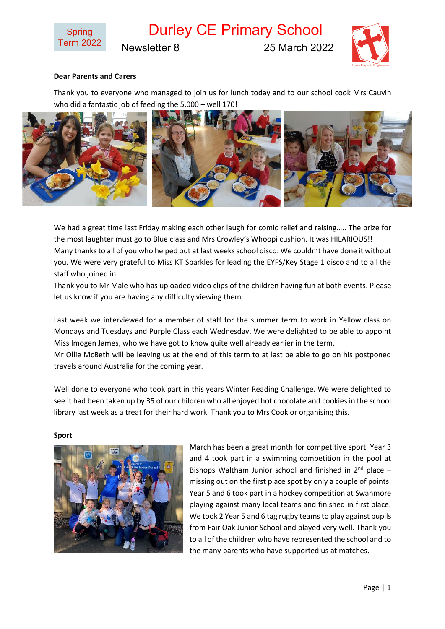

Durley CE Primary School

Newsletter 8 25 March 2022



### **Dear Parents and Carers**

Thank you to everyone who managed to join us for lunch today and to our school cook Mrs Cauvin who did a fantastic job of feeding the 5,000 – well 170!



We had a great time last Friday making each other laugh for comic relief and raising….. The prize for the most laughter must go to Blue class and Mrs Crowley's Whoopi cushion. It was HILARIOUS!! Many thanks to all of you who helped out at last weeks school disco. We couldn't have done it without you. We were very grateful to Miss KT Sparkles for leading the EYFS/Key Stage 1 disco and to all the staff who joined in.

Thank you to Mr Male who has uploaded video clips of the children having fun at both events. Please let us know if you are having any difficulty viewing them

Last week we interviewed for a member of staff for the summer term to work in Yellow class on Mondays and Tuesdays and Purple Class each Wednesday. We were delighted to be able to appoint Miss Imogen James, who we have got to know quite well already earlier in the term.

Mr Ollie McBeth will be leaving us at the end of this term to at last be able to go on his postponed travels around Australia for the coming year.

Well done to everyone who took part in this years Winter Reading Challenge. We were delighted to see it had been taken up by 35 of our children who all enjoyed hot chocolate and cookies in the school library last week as a treat for their hard work. Thank you to Mrs Cook or organising this.

#### **Sport**



March has been a great month for competitive sport. Year 3 and 4 took part in a swimming competition in the pool at Bishops Waltham Junior school and finished in  $2^{nd}$  place – missing out on the first place spot by only a couple of points. Year 5 and 6 took part in a hockey competition at Swanmore playing against many local teams and finished in first place. We took 2 Year 5 and 6 tag rugby teams to play against pupils from Fair Oak Junior School and played very well. Thank you to all of the children who have represented the school and to the many parents who have supported us at matches.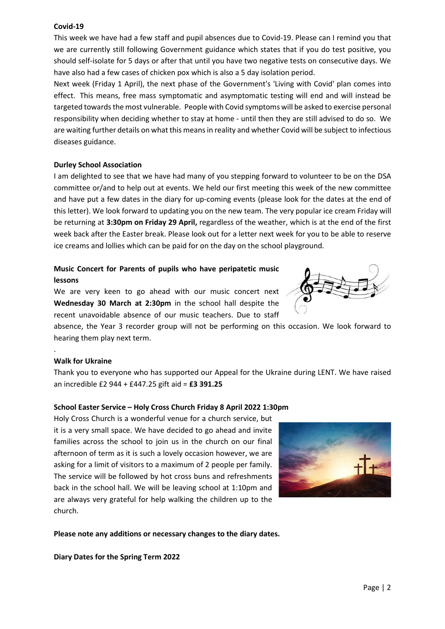# **Covid-19**

This week we have had a few staff and pupil absences due to Covid-19. Please can I remind you that we are currently still following Government guidance which states that if you do test positive, you should self-isolate for 5 days or after that until you have two negative tests on consecutive days. We have also had a few cases of chicken pox which is also a 5 day isolation period.

Next week (Friday 1 April), the next phase of the Government's 'Living with Covid' plan comes into effect. This means, free mass symptomatic and asymptomatic testing will end and will instead be targeted towards the most vulnerable. People with Covid symptoms will be asked to exercise personal responsibility when deciding whether to stay at home - until then they are still advised to do so. We are waiting further details on what this means in reality and whether Covid will be subject to infectious diseases guidance.

### **Durley School Association**

I am delighted to see that we have had many of you stepping forward to volunteer to be on the DSA committee or/and to help out at events. We held our first meeting this week of the new committee and have put a few dates in the diary for up-coming events (please look for the dates at the end of this letter). We look forward to updating you on the new team. The very popular ice cream Friday will be returning at **3:30pm on Friday 29 April,** regardless of the weather, which is at the end of the first week back after the Easter break. Please look out for a letter next week for you to be able to reserve ice creams and lollies which can be paid for on the day on the school playground.

# **Music Concert for Parents of pupils who have peripatetic music lessons**

We are very keen to go ahead with our music concert next **Wednesday 30 March at 2:30pm** in the school hall despite the recent unavoidable absence of our music teachers. Due to staff

absence, the Year 3 recorder group will not be performing on this occasion. We look forward to hearing them play next term.

# **Walk for Ukraine**

.

Thank you to everyone who has supported our Appeal for the Ukraine during LENT. We have raised an incredible £2 944 + £447.25 gift aid = **£3 391.25**

### **School Easter Service – Holy Cross Church Friday 8 April 2022 1:30pm**

Holy Cross Church is a wonderful venue for a church service, but it is a very small space. We have decided to go ahead and invite families across the school to join us in the church on our final afternoon of term as it is such a lovely occasion however, we are asking for a limit of visitors to a maximum of 2 people per family. The service will be followed by hot cross buns and refreshments back in the school hall. We will be leaving school at 1:10pm and are always very grateful for help walking the children up to the church.



### **Please note any additions or necessary changes to the diary dates.**

**Diary Dates for the Spring Term 2022**

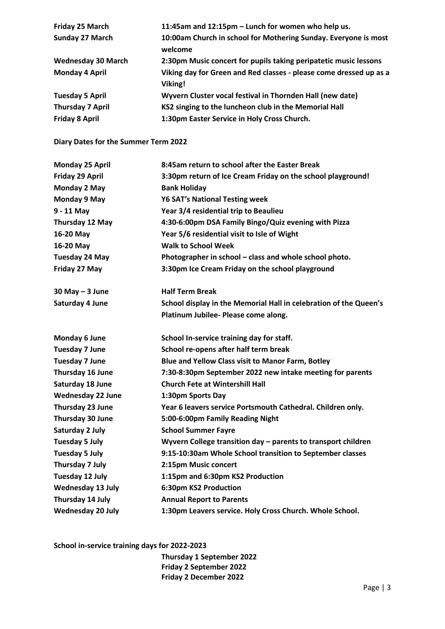| Friday 25 March           | 11:45am and 12:15pm - Lunch for women who help us.                            |
|---------------------------|-------------------------------------------------------------------------------|
| <b>Sunday 27 March</b>    | 10:00am Church in school for Mothering Sunday. Everyone is most<br>welcome    |
| <b>Wednesday 30 March</b> | 2:30pm Music concert for pupils taking peripatetic music lessons              |
| <b>Monday 4 April</b>     | Viking day for Green and Red classes - please come dressed up as a<br>Viking! |
| <b>Tuesday 5 April</b>    | Wyvern Cluster vocal festival in Thornden Hall (new date)                     |
| <b>Thursday 7 April</b>   | KS2 singing to the luncheon club in the Memorial Hall                         |
| <b>Friday 8 April</b>     | 1:30pm Easter Service in Holy Cross Church.                                   |

**Diary Dates for the Summer Term 2022**

| <b>Monday 25 April</b>   | 8:45am return to school after the Easter Break                    |
|--------------------------|-------------------------------------------------------------------|
| Friday 29 April          | 3:30pm return of Ice Cream Friday on the school playground!       |
| Monday 2 May             | <b>Bank Holiday</b>                                               |
| <b>Monday 9 May</b>      | <b>Y6 SAT's National Testing week</b>                             |
| $9 - 11$ May             | Year 3/4 residential trip to Beaulieu                             |
| Thursday 12 May          | 4:30-6:00pm DSA Family Bingo/Quiz evening with Pizza              |
| 16-20 May                | Year 5/6 residential visit to Isle of Wight                       |
| 16-20 May                | <b>Walk to School Week</b>                                        |
| <b>Tuesday 24 May</b>    | Photographer in school - class and whole school photo.            |
| Friday 27 May            | 3:30pm Ice Cream Friday on the school playground                  |
| $30$ May $-3$ June       | <b>Half Term Break</b>                                            |
| Saturday 4 June          | School display in the Memorial Hall in celebration of the Queen's |
|                          | Platinum Jubilee- Please come along.                              |
| Monday 6 June            | School In-service training day for staff.                         |
| <b>Tuesday 7 June</b>    | School re-opens after half term break                             |
| <b>Tuesday 7 June</b>    | Blue and Yellow Class visit to Manor Farm, Botley                 |
| Thursday 16 June         | 7:30-8:30pm September 2022 new intake meeting for parents         |
| Saturday 18 June         | <b>Church Fete at Wintershill Hall</b>                            |
| <b>Wednesday 22 June</b> | 1:30pm Sports Day                                                 |
| Thursday 23 June         | Year 6 leavers service Portsmouth Cathedral. Children only.       |
| Thursday 30 June         | 5:00-6:00pm Family Reading Night                                  |
| Saturday 2 July          | <b>School Summer Fayre</b>                                        |
| <b>Tuesday 5 July</b>    | Wyvern College transition day - parents to transport children     |
| <b>Tuesday 5 July</b>    | 9:15-10:30am Whole School transition to September classes         |
| Thursday 7 July          | 2:15pm Music concert                                              |
| Tuesday 12 July          | 1:15pm and 6:30pm KS2 Production                                  |
| <b>Wednesday 13 July</b> | 6:30pm KS2 Production                                             |
| Thursday 14 July         | <b>Annual Report to Parents</b>                                   |
| <b>Wednesday 20 July</b> | 1:30pm Leavers service. Holy Cross Church. Whole School.          |

**School in-service training days for 2022-2023**

**Thursday 1 September 2022 Friday 2 September 2022 Friday 2 December 2022**